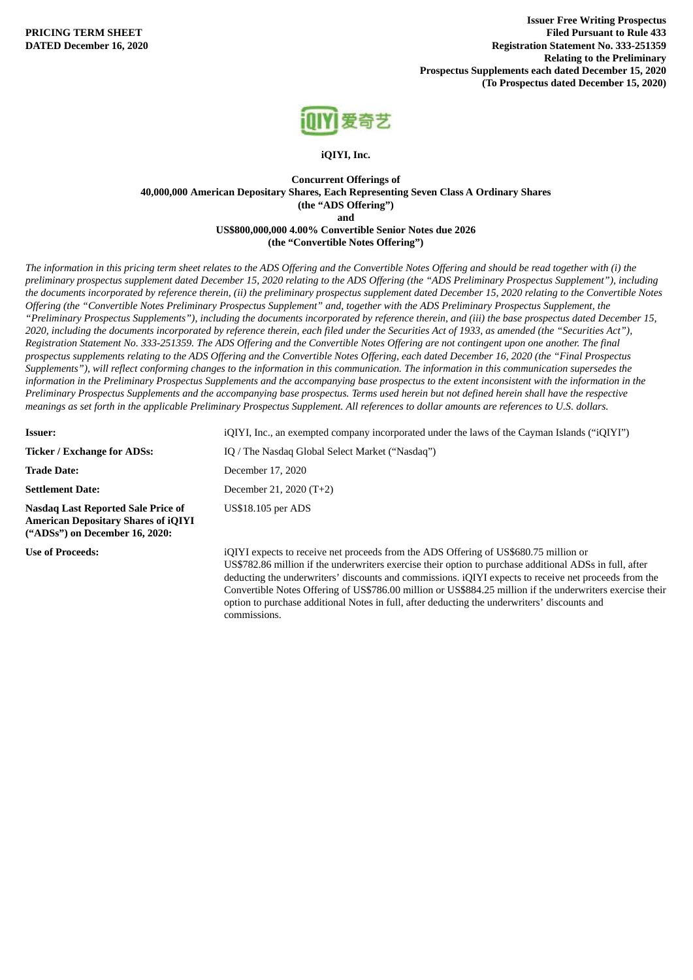

**iQIYI, Inc.**

## **Concurrent Offerings of 40,000,000 American Depositary Shares, Each Representing Seven Class A Ordinary Shares (the "ADS Offering") and US\$800,000,000 4.00% Convertible Senior Notes due 2026**

**(the "Convertible Notes Offering")**

The information in this pricing term sheet relates to the ADS Offering and the Convertible Notes Offering and should be read together with (i) the preliminary prospectus supplement dated December 15, 2020 relating to the ADS Offering (the "ADS Preliminary Prospectus Supplement"), including the documents incorporated by reference therein, (ii) the preliminary prospectus supplement dated December 15, 2020 relating to the Convertible Notes Offering (the "Convertible Notes Preliminary Prospectus Supplement" and, together with the ADS Preliminary Prospectus Supplement, the "Preliminary Prospectus Supplements"), including the documents incorporated by reference therein, and (iii) the base prospectus dated December 15, 2020, including the documents incorporated by reference therein, each filed under the Securities Act of 1933, as amended (the "Securities Act"), Registration Statement No. 333-251359. The ADS Offering and the Convertible Notes Offering are not contingent upon one another. The final prospectus supplements relating to the ADS Offering and the Convertible Notes Offering, each dated December 16, 2020 (the "Final Prospectus Supplements"), will reflect conforming changes to the information in this communication. The information in this communication supersedes the information in the Preliminary Prospectus Supplements and the accompanying base prospectus to the extent inconsistent with the information in the Preliminary Prospectus Supplements and the accompanying base prospectus. Terms used herein but not defined herein shall have the respective meanings as set forth in the applicable Preliminary Prospectus Supplement. All references to dollar amounts are references to U.S. dollars.

| <b>Issuer:</b>                                                                                                            | iQIYI, Inc., an exempted company incorporated under the laws of the Cayman Islands ("iQIYI")                                                                                                   |  |  |  |  |  |  |  |
|---------------------------------------------------------------------------------------------------------------------------|------------------------------------------------------------------------------------------------------------------------------------------------------------------------------------------------|--|--|--|--|--|--|--|
| <b>Ticker / Exchange for ADSs:</b>                                                                                        | IQ / The Nasdag Global Select Market ("Nasdag")                                                                                                                                                |  |  |  |  |  |  |  |
| <b>Trade Date:</b>                                                                                                        | December 17, 2020                                                                                                                                                                              |  |  |  |  |  |  |  |
| <b>Settlement Date:</b>                                                                                                   | December 21, 2020 (T+2)                                                                                                                                                                        |  |  |  |  |  |  |  |
| <b>Nasdag Last Reported Sale Price of</b><br><b>American Depositary Shares of iQIYI</b><br>("ADSs") on December 16, 2020: | <b>US\$18.105 per ADS</b>                                                                                                                                                                      |  |  |  |  |  |  |  |
| <b>Use of Proceeds:</b>                                                                                                   | iQIYI expects to receive net proceeds from the ADS Offering of US\$680.75 million or<br>US\$782.86 million if the underwriters exercise their option to purchase additional ADSs in full after |  |  |  |  |  |  |  |

US\$782.86 million if the underwriters exercise their option to purchase additional ADSs in full, after deducting the underwriters' discounts and commissions. iQIYI expects to receive net proceeds from the Convertible Notes Offering of US\$786.00 million or US\$884.25 million if the underwriters exercise their option to purchase additional Notes in full, after deducting the underwriters' discounts and commissions.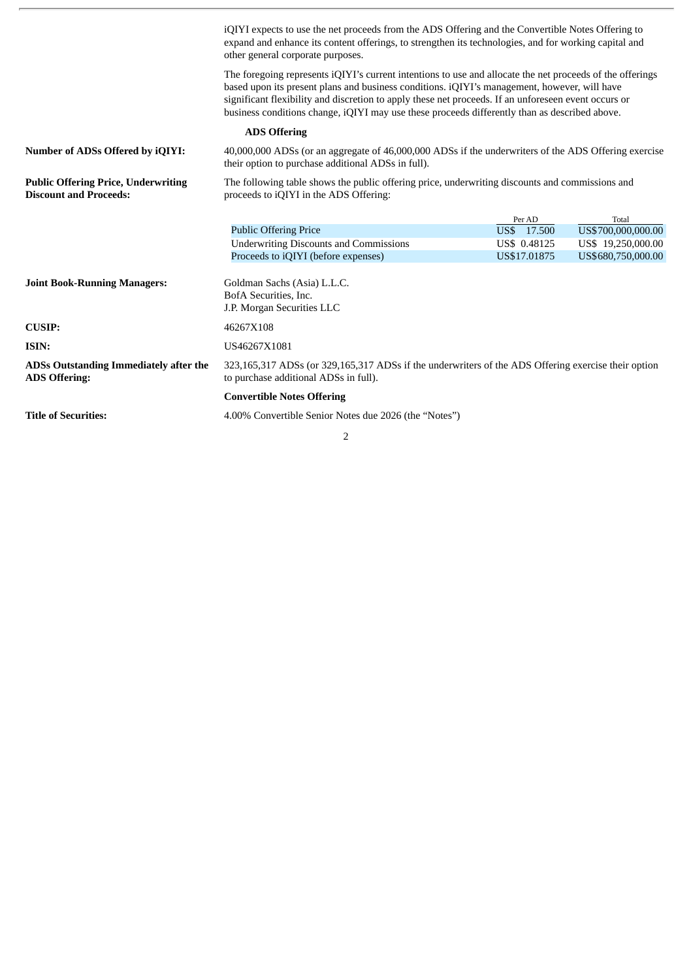|                                                                             | iQIYI expects to use the net proceeds from the ADS Offering and the Convertible Notes Offering to<br>expand and enhance its content offerings, to strengthen its technologies, and for working capital and<br>other general corporate purposes.                                                                                                                                                                    |              |                    |  |  |  |  |  |
|-----------------------------------------------------------------------------|--------------------------------------------------------------------------------------------------------------------------------------------------------------------------------------------------------------------------------------------------------------------------------------------------------------------------------------------------------------------------------------------------------------------|--------------|--------------------|--|--|--|--|--|
|                                                                             | The foregoing represents iQIYI's current intentions to use and allocate the net proceeds of the offerings<br>based upon its present plans and business conditions. iQIYI's management, however, will have<br>significant flexibility and discretion to apply these net proceeds. If an unforeseen event occurs or<br>business conditions change, iQIYI may use these proceeds differently than as described above. |              |                    |  |  |  |  |  |
|                                                                             | <b>ADS Offering</b>                                                                                                                                                                                                                                                                                                                                                                                                |              |                    |  |  |  |  |  |
| <b>Number of ADSs Offered by iQIYI:</b>                                     | 40,000,000 ADSs (or an aggregate of 46,000,000 ADSs if the underwriters of the ADS Offering exercise<br>their option to purchase additional ADSs in full).                                                                                                                                                                                                                                                         |              |                    |  |  |  |  |  |
| <b>Public Offering Price, Underwriting</b><br><b>Discount and Proceeds:</b> | The following table shows the public offering price, underwriting discounts and commissions and<br>proceeds to iQIYI in the ADS Offering:                                                                                                                                                                                                                                                                          |              |                    |  |  |  |  |  |
|                                                                             |                                                                                                                                                                                                                                                                                                                                                                                                                    | Per AD       | Total              |  |  |  |  |  |
|                                                                             | <b>Public Offering Price</b>                                                                                                                                                                                                                                                                                                                                                                                       | US\$ 17.500  | US\$700,000,000.00 |  |  |  |  |  |
|                                                                             | <b>Underwriting Discounts and Commissions</b>                                                                                                                                                                                                                                                                                                                                                                      | US\$ 0.48125 | US\$ 19,250,000.00 |  |  |  |  |  |
|                                                                             | Proceeds to iQIYI (before expenses)                                                                                                                                                                                                                                                                                                                                                                                | US\$17,01875 | US\$680,750,000.00 |  |  |  |  |  |
| <b>Joint Book-Running Managers:</b>                                         | Goldman Sachs (Asia) L.L.C.<br>BofA Securities, Inc.<br>J.P. Morgan Securities LLC                                                                                                                                                                                                                                                                                                                                 |              |                    |  |  |  |  |  |
| <b>CUSIP:</b>                                                               | 46267X108                                                                                                                                                                                                                                                                                                                                                                                                          |              |                    |  |  |  |  |  |
| ISIN:                                                                       | US46267X1081                                                                                                                                                                                                                                                                                                                                                                                                       |              |                    |  |  |  |  |  |
| ADSs Outstanding Immediately after the<br><b>ADS Offering:</b>              | 323,165,317 ADSs (or 329,165,317 ADSs if the underwriters of the ADS Offering exercise their option<br>to purchase additional ADSs in full).                                                                                                                                                                                                                                                                       |              |                    |  |  |  |  |  |
|                                                                             | <b>Convertible Notes Offering</b>                                                                                                                                                                                                                                                                                                                                                                                  |              |                    |  |  |  |  |  |
| <b>Title of Securities:</b>                                                 | 4.00% Convertible Senior Notes due 2026 (the "Notes")                                                                                                                                                                                                                                                                                                                                                              |              |                    |  |  |  |  |  |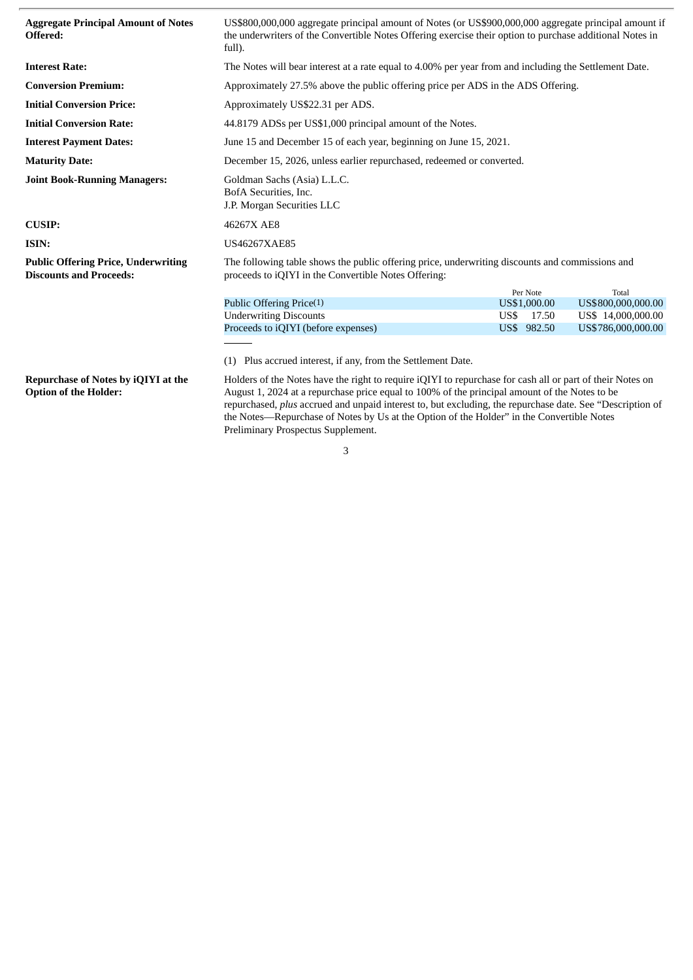| <b>Aggregate Principal Amount of Notes</b><br>Offered:                       | US\$800,000,000 aggregate principal amount of Notes (or US\$900,000,000 aggregate principal amount if<br>the underwriters of the Convertible Notes Offering exercise their option to purchase additional Notes in<br>full). |               |                    |  |  |  |  |  |  |
|------------------------------------------------------------------------------|-----------------------------------------------------------------------------------------------------------------------------------------------------------------------------------------------------------------------------|---------------|--------------------|--|--|--|--|--|--|
| <b>Interest Rate:</b>                                                        | The Notes will bear interest at a rate equal to 4.00% per year from and including the Settlement Date.                                                                                                                      |               |                    |  |  |  |  |  |  |
| <b>Conversion Premium:</b>                                                   | Approximately 27.5% above the public offering price per ADS in the ADS Offering.                                                                                                                                            |               |                    |  |  |  |  |  |  |
| <b>Initial Conversion Price:</b>                                             | Approximately US\$22.31 per ADS.                                                                                                                                                                                            |               |                    |  |  |  |  |  |  |
| <b>Initial Conversion Rate:</b>                                              | 44.8179 ADSs per US\$1,000 principal amount of the Notes.                                                                                                                                                                   |               |                    |  |  |  |  |  |  |
| <b>Interest Payment Dates:</b>                                               | June 15 and December 15 of each year, beginning on June 15, 2021.                                                                                                                                                           |               |                    |  |  |  |  |  |  |
| <b>Maturity Date:</b>                                                        | December 15, 2026, unless earlier repurchased, redeemed or converted.                                                                                                                                                       |               |                    |  |  |  |  |  |  |
| <b>Joint Book-Running Managers:</b>                                          | Goldman Sachs (Asia) L.L.C.<br>BofA Securities, Inc.<br>J.P. Morgan Securities LLC                                                                                                                                          |               |                    |  |  |  |  |  |  |
| <b>CUSIP:</b>                                                                | 46267X AE8                                                                                                                                                                                                                  |               |                    |  |  |  |  |  |  |
| ISIN:                                                                        | US46267XAE85                                                                                                                                                                                                                |               |                    |  |  |  |  |  |  |
| <b>Public Offering Price, Underwriting</b><br><b>Discounts and Proceeds:</b> | The following table shows the public offering price, underwriting discounts and commissions and<br>proceeds to iQIYI in the Convertible Notes Offering:                                                                     |               |                    |  |  |  |  |  |  |
|                                                                              |                                                                                                                                                                                                                             | Per Note      | Total              |  |  |  |  |  |  |
|                                                                              | Public Offering Price(1)                                                                                                                                                                                                    | US\$1,000.00  | US\$800,000,000.00 |  |  |  |  |  |  |
|                                                                              | <b>Underwriting Discounts</b>                                                                                                                                                                                               | US\$<br>17.50 | US\$ 14,000,000.00 |  |  |  |  |  |  |
|                                                                              | Proceeds to iQIYI (before expenses)<br>US\$ 982.50<br>US\$786,000,000.00                                                                                                                                                    |               |                    |  |  |  |  |  |  |
|                                                                              |                                                                                                                                                                                                                             |               |                    |  |  |  |  |  |  |
|                                                                              | Plus accrued interest, if any, from the Settlement Date.<br>(1)                                                                                                                                                             |               |                    |  |  |  |  |  |  |
| <b>Repurchase of Notes by iQIYI at the</b><br><b>Option of the Holder:</b>   | Holders of the Notes have the right to require iQIYI to repurchase for cash all or part of their Notes on<br>August 1, 2024 at a repurchase price equal to 100% of the principal amount of the Notes to be                  |               |                    |  |  |  |  |  |  |

August 1, 2024 at a repurchase price equal to 100% of the principal amount of the Notes to be repurchased, *plus* accrued and unpaid interest to, but excluding, the repurchase date. See "Description of the Notes—Repurchase of Notes by Us at the Option of the Holder" in the Convertible Notes Preliminary Prospectus Supplement.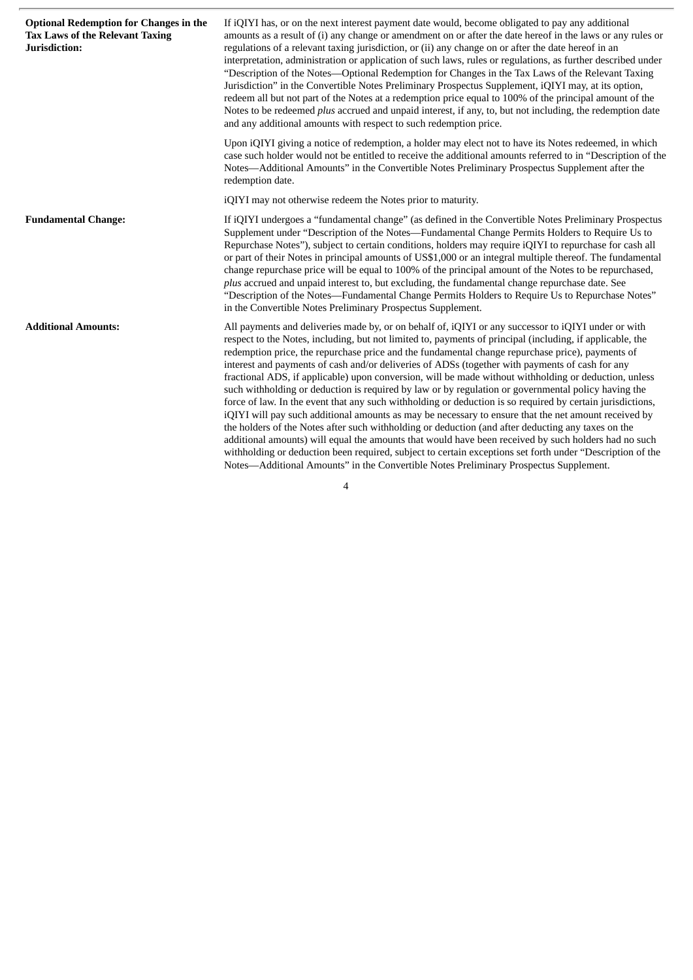| <b>Optional Redemption for Changes in the</b><br><b>Tax Laws of the Relevant Taxing</b><br>Jurisdiction: | If iQIYI has, or on the next interest payment date would, become obligated to pay any additional<br>amounts as a result of (i) any change or amendment on or after the date hereof in the laws or any rules or<br>regulations of a relevant taxing jurisdiction, or (ii) any change on or after the date hereof in an<br>interpretation, administration or application of such laws, rules or regulations, as further described under<br>"Description of the Notes—Optional Redemption for Changes in the Tax Laws of the Relevant Taxing<br>Jurisdiction" in the Convertible Notes Preliminary Prospectus Supplement, iQIYI may, at its option,<br>redeem all but not part of the Notes at a redemption price equal to 100% of the principal amount of the<br>Notes to be redeemed plus accrued and unpaid interest, if any, to, but not including, the redemption date<br>and any additional amounts with respect to such redemption price.                                                                                                                                                                                                                                                                                                                                     |  |  |  |  |  |  |
|----------------------------------------------------------------------------------------------------------|-----------------------------------------------------------------------------------------------------------------------------------------------------------------------------------------------------------------------------------------------------------------------------------------------------------------------------------------------------------------------------------------------------------------------------------------------------------------------------------------------------------------------------------------------------------------------------------------------------------------------------------------------------------------------------------------------------------------------------------------------------------------------------------------------------------------------------------------------------------------------------------------------------------------------------------------------------------------------------------------------------------------------------------------------------------------------------------------------------------------------------------------------------------------------------------------------------------------------------------------------------------------------------------|--|--|--|--|--|--|
|                                                                                                          | Upon iQIYI giving a notice of redemption, a holder may elect not to have its Notes redeemed, in which<br>case such holder would not be entitled to receive the additional amounts referred to in "Description of the<br>Notes-Additional Amounts" in the Convertible Notes Preliminary Prospectus Supplement after the<br>redemption date.                                                                                                                                                                                                                                                                                                                                                                                                                                                                                                                                                                                                                                                                                                                                                                                                                                                                                                                                        |  |  |  |  |  |  |
|                                                                                                          | iQIYI may not otherwise redeem the Notes prior to maturity.                                                                                                                                                                                                                                                                                                                                                                                                                                                                                                                                                                                                                                                                                                                                                                                                                                                                                                                                                                                                                                                                                                                                                                                                                       |  |  |  |  |  |  |
| <b>Fundamental Change:</b>                                                                               | If iQIYI undergoes a "fundamental change" (as defined in the Convertible Notes Preliminary Prospectus<br>Supplement under "Description of the Notes—Fundamental Change Permits Holders to Require Us to<br>Repurchase Notes"), subject to certain conditions, holders may require iQIYI to repurchase for cash all<br>or part of their Notes in principal amounts of US\$1,000 or an integral multiple thereof. The fundamental<br>change repurchase price will be equal to 100% of the principal amount of the Notes to be repurchased,<br>plus accrued and unpaid interest to, but excluding, the fundamental change repurchase date. See<br>"Description of the Notes—Fundamental Change Permits Holders to Require Us to Repurchase Notes"<br>in the Convertible Notes Preliminary Prospectus Supplement.                                                                                                                                                                                                                                                                                                                                                                                                                                                                     |  |  |  |  |  |  |
| <b>Additional Amounts:</b>                                                                               | All payments and deliveries made by, or on behalf of, iQIYI or any successor to iQIYI under or with<br>respect to the Notes, including, but not limited to, payments of principal (including, if applicable, the<br>redemption price, the repurchase price and the fundamental change repurchase price), payments of<br>interest and payments of cash and/or deliveries of ADSs (together with payments of cash for any<br>fractional ADS, if applicable) upon conversion, will be made without withholding or deduction, unless<br>such withholding or deduction is required by law or by regulation or governmental policy having the<br>force of law. In the event that any such withholding or deduction is so required by certain jurisdictions,<br>iQIYI will pay such additional amounts as may be necessary to ensure that the net amount received by<br>the holders of the Notes after such withholding or deduction (and after deducting any taxes on the<br>additional amounts) will equal the amounts that would have been received by such holders had no such<br>withholding or deduction been required, subject to certain exceptions set forth under "Description of the<br>Notes—Additional Amounts" in the Convertible Notes Preliminary Prospectus Supplement. |  |  |  |  |  |  |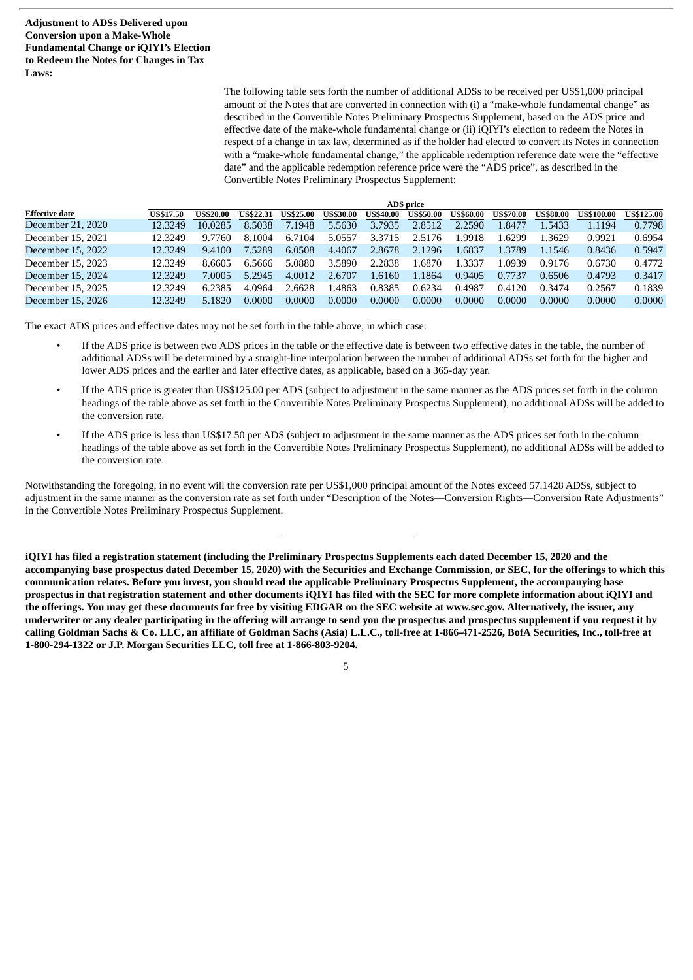**Adjustment to ADSs Delivered upon Conversion upon a Make-Whole Fundamental Change or iQIYI's Election to Redeem the Notes for Changes in Tax Laws:**

> The following table sets forth the number of additional ADSs to be received per US\$1,000 principal amount of the Notes that are converted in connection with (i) a "make-whole fundamental change" as described in the Convertible Notes Preliminary Prospectus Supplement, based on the ADS price and effective date of the make-whole fundamental change or (ii) iQIYI's election to redeem the Notes in respect of a change in tax law, determined as if the holder had elected to convert its Notes in connection with a "make-whole fundamental change," the applicable redemption reference date were the "effective date" and the applicable redemption reference price were the "ADS price", as described in the Convertible Notes Preliminary Prospectus Supplement:

|                       | <b>ADS</b> price |                  |                  |                  |                  |                  |                  |                  |                  |                  |                   |                   |
|-----------------------|------------------|------------------|------------------|------------------|------------------|------------------|------------------|------------------|------------------|------------------|-------------------|-------------------|
| <b>Effective date</b> | <b>US\$17.50</b> | <b>US\$20.00</b> | <b>US\$22.31</b> | <b>US\$25.00</b> | <b>US\$30.00</b> | <b>US\$40.00</b> | <b>US\$50.00</b> | <b>US\$60.00</b> | <b>US\$70.00</b> | <b>US\$80.00</b> | <b>US\$100.00</b> | <b>US\$125.00</b> |
| December 21, 2020     | 12.3249          | 10.0285          | 8.5038           | 7.1948           | 5.5630           | 3.7935           | 2.8512           | 2.2590           | .8477            | .5433            | 1.1194            | 0.7798            |
| December 15, 2021     | 12.3249          | 9.7760           | 8.1004           | 6.7104           | 5.0557           | 3.3715           | 2.5176           | .9918            | .6299            | .3629            | 0.9921            | 0.6954            |
| December 15, 2022     | 12.3249          | 9.4100           | 7.5289           | 6.0508           | 4.4067           | 2.8678           | 2.1296           | .6837            | .3789            | 1.1546           | 0.8436            | 0.5947            |
| December 15, 2023     | 12.3249          | 8.6605           | 6.5666           | 5.0880           | 3.5890           | 2.2838           | .6870            | .3337            | .0939            | 0.9176           | 0.6730            | 0.4772            |
| December 15, 2024     | 12.3249          | 7.0005           | 5.2945           | 4.0012           | 2.6707           | 1.6160           | 1.1864           | 0.9405           | 0.7737           | 0.6506           | 0.4793            | 0.3417            |
| December 15, 2025     | 12.3249          | 6.2385           | 4.0964           | 2.6628           | .4863            | 0.8385           | 0.6234           | 0.4987           | 0.4120           | 0.3474           | 0.2567            | 0.1839            |
| December 15, 2026     | 12.3249          | 5.1820           | 0.0000           | 0.0000           | 0.0000           | 0.0000           | 0.0000           | 0.0000           | 0.0000           | 0.0000           | 0.0000            | 0.0000            |

The exact ADS prices and effective dates may not be set forth in the table above, in which case:

- If the ADS price is between two ADS prices in the table or the effective date is between two effective dates in the table, the number of additional ADSs will be determined by a straight-line interpolation between the number of additional ADSs set forth for the higher and lower ADS prices and the earlier and later effective dates, as applicable, based on a 365-day year.
- If the ADS price is greater than US\$125.00 per ADS (subject to adjustment in the same manner as the ADS prices set forth in the column headings of the table above as set forth in the Convertible Notes Preliminary Prospectus Supplement), no additional ADSs will be added to the conversion rate.
- If the ADS price is less than US\$17.50 per ADS (subject to adjustment in the same manner as the ADS prices set forth in the column headings of the table above as set forth in the Convertible Notes Preliminary Prospectus Supplement), no additional ADSs will be added to the conversion rate.

Notwithstanding the foregoing, in no event will the conversion rate per US\$1,000 principal amount of the Notes exceed 57.1428 ADSs, subject to adjustment in the same manner as the conversion rate as set forth under "Description of the Notes—Conversion Rights—Conversion Rate Adjustments" in the Convertible Notes Preliminary Prospectus Supplement.

iOIYI has filed a registration statement (including the Preliminary Prospectus Supplements each dated December 15, 2020 and the accompanying base prospectus dated December 15, 2020) with the Securities and Exchange Commission, or SEC, for the offerings to which this communication relates. Before you invest, you should read the applicable Preliminary Prospectus Supplement, the accompanying base prospectus in that registration statement and other documents iQIYI has filed with the SEC for more complete information about iOIYI and the offerings. You may get these documents for free by visiting EDGAR on the SEC website at www.sec.gov. Alternatively, the issuer, any underwriter or any dealer participating in the offering will arrange to send you the prospectus and prospectus supplement if you request it by calling Goldman Sachs & Co. LLC, an affiliate of Goldman Sachs (Asia) L.L.C., toll-free at 1-866-471-2526, BofA Securities, Inc., toll-free at **1-800-294-1322 or J.P. Morgan Securities LLC, toll free at 1-866-803-9204.**